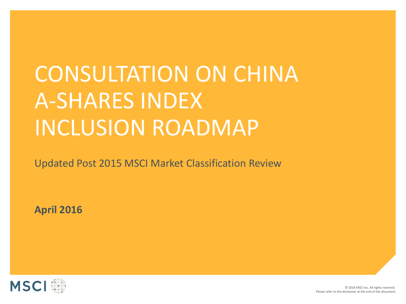# CONSULTATION ON CHINA A-SHARES INDEX INCLUSION ROADMAP

Updated Post 2015 MSCI Market Classification Review

**April 2016**

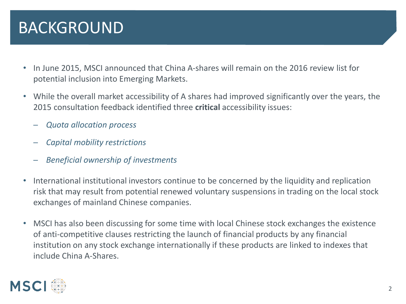#### BACKGROUND

- In June 2015, MSCI announced that China A-shares will remain on the 2016 review list for potential inclusion into Emerging Markets.
- While the overall market accessibility of A shares had improved significantly over the years, the 2015 consultation feedback identified three **critical** accessibility issues:
	- ─ *Quota allocation process*
	- ─ *Capital mobility restrictions*
	- ─ *Beneficial ownership of investments*
- International institutional investors continue to be concerned by the liquidity and replication risk that may result from potential renewed voluntary suspensions in trading on the local stock exchanges of mainland Chinese companies.
- MSCI has also been discussing for some time with local Chinese stock exchanges the existence of anti-competitive clauses restricting the launch of financial products by any financial institution on any stock exchange internationally if these products are linked to indexes that include China A-Shares.

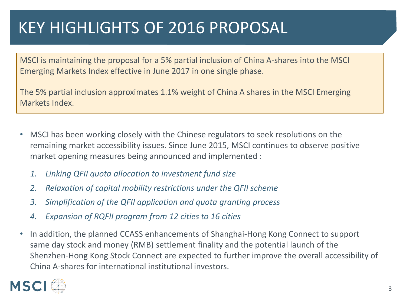# KEY HIGHLIGHTS OF 2016 PROPOSAL

MSCI is maintaining the proposal for a 5% partial inclusion of China A-shares into the MSCI Emerging Markets Index effective in June 2017 in one single phase.

The 5% partial inclusion approximates 1.1% weight of China A shares in the MSCI Emerging Markets Index.

- MSCI has been working closely with the Chinese regulators to seek resolutions on the remaining market accessibility issues. Since June 2015, MSCI continues to observe positive market opening measures being announced and implemented :
	- *1. Linking QFII quota allocation to investment fund size*
	- *2. Relaxation of capital mobility restrictions under the QFII scheme*
	- *3. Simplification of the QFII application and quota granting process*
	- *4. Expansion of RQFII program from 12 cities to 16 cities*
- In addition, the planned CCASS enhancements of Shanghai-Hong Kong Connect to support same day stock and money (RMB) settlement finality and the potential launch of the Shenzhen-Hong Kong Stock Connect are expected to further improve the overall accessibility of China A-shares for international institutional investors.

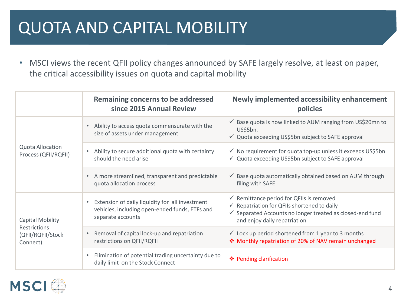# QUOTA AND CAPITAL MOBILITY

• MSCI views the recent QFII policy changes announced by SAFE largely resolve, at least on paper, the critical accessibility issues on quota and capital mobility

|                                                 | Remaining concerns to be addressed<br>since 2015 Annual Review                                                                      | Newly implemented accessibility enhancement<br>policies                                                                                                                                                               |  |
|-------------------------------------------------|-------------------------------------------------------------------------------------------------------------------------------------|-----------------------------------------------------------------------------------------------------------------------------------------------------------------------------------------------------------------------|--|
| <b>Quota Allocation</b><br>Process (QFII/RQFII) | Ability to access quota commensurate with the<br>$\bullet$<br>size of assets under management                                       | ✓ Base quota is now linked to AUM ranging from US\$20mn to<br>US\$5bn.<br>√ Quota exceeding US\$5bn subject to SAFE approval                                                                                          |  |
|                                                 | Ability to secure additional quota with certainty<br>$\bullet$<br>should the need arise                                             | √ No requirement for quota top-up unless it exceeds US\$5bn<br>√ Quota exceeding US\$5bn subject to SAFE approval                                                                                                     |  |
|                                                 | A more streamlined, transparent and predictable<br>quota allocation process                                                         | $\checkmark$ Base quota automatically obtained based on AUM through<br>filing with SAFE                                                                                                                               |  |
| Capital Mobility                                | Extension of daily liquidity for all investment<br>$\bullet$<br>vehicles, including open-ended funds, ETFs and<br>separate accounts | $\checkmark$ Remittance period for QFIIs is removed<br>$\checkmark$ Repatriation for QFIIs shortened to daily<br>$\checkmark$ Separated Accounts no longer treated as closed-end fund<br>and enjoy daily repatriation |  |
| Restrictions<br>(QFII/RQFII/Stock<br>Connect)   | Removal of capital lock-up and repatriation<br>restrictions on QFII/RQFII                                                           | $\checkmark$ Lock up period shortened from 1 year to 3 months<br>❖ Monthly repatriation of 20% of NAV remain unchanged                                                                                                |  |
|                                                 | Elimination of potential trading uncertainty due to<br>$\bullet$<br>daily limit on the Stock Connect                                | ❖ Pending clarification                                                                                                                                                                                               |  |

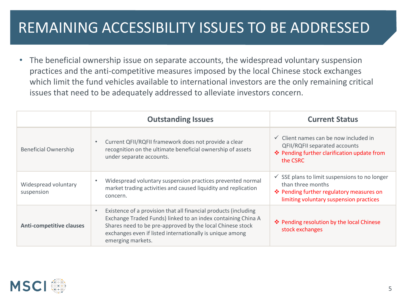#### REMAINING ACCESSIBILITY ISSUES TO BE ADDRESSED

• The beneficial ownership issue on separate accounts, the widespread voluntary suspension practices and the anti-competitive measures imposed by the local Chinese stock exchanges which limit the fund vehicles available to international investors are the only remaining critical issues that need to be adequately addressed to alleviate investors concern.

|                                    | <b>Outstanding Issues</b>                                                                                                                                                                                                                                                     | <b>Current Status</b>                                                                                                                                                |  |  |
|------------------------------------|-------------------------------------------------------------------------------------------------------------------------------------------------------------------------------------------------------------------------------------------------------------------------------|----------------------------------------------------------------------------------------------------------------------------------------------------------------------|--|--|
| <b>Beneficial Ownership</b>        | Current QFII/RQFII framework does not provide a clear<br>recognition on the ultimate beneficial ownership of assets<br>under separate accounts.                                                                                                                               | $\checkmark$ Client names can be now included in<br>QFII/RQFII separated accounts<br>❖ Pending further clarification update from<br>the CSRC                         |  |  |
| Widespread voluntary<br>suspension | Widespread voluntary suspension practices prevented normal<br>market trading activities and caused liquidity and replication<br>concern.                                                                                                                                      | $\checkmark$ SSE plans to limit suspensions to no longer<br>than three months<br>❖ Pending further regulatory measures on<br>limiting voluntary suspension practices |  |  |
| <b>Anti-competitive clauses</b>    | Existence of a provision that all financial products (including<br>Exchange Traded Funds) linked to an index containing China A<br>Shares need to be pre-approved by the local Chinese stock<br>exchanges even if listed internationally is unique among<br>emerging markets. | ❖ Pending resolution by the local Chinese<br>stock exchanges                                                                                                         |  |  |

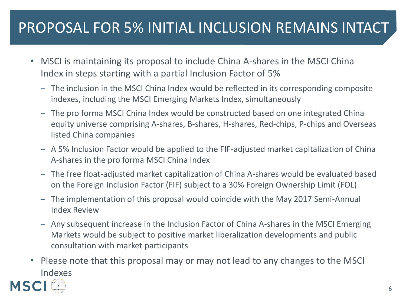#### PROPOSAL FOR 5% INITIAL INCLUSION REMAINS INTACT

- MSCI is maintaining its proposal to include China A-shares in the MSCI China Index in steps starting with a partial Inclusion Factor of 5%
	- ─ The inclusion in the MSCI China Index would be reflected in its corresponding composite indexes, including the MSCI Emerging Markets Index, simultaneously
	- The pro forma MSCI China Index would be constructed based on one integrated China equity universe comprising A-shares, B-shares, H-shares, Red-chips, P-chips and Overseas listed China companies
	- ─ A 5% Inclusion Factor would be applied to the FIF-adjusted market capitalization of China A-shares in the pro forma MSCI China Index
	- ─ The free float-adjusted market capitalization of China A-shares would be evaluated based on the Foreign Inclusion Factor (FIF) subject to a 30% Foreign Ownership Limit (FOL)
	- The implementation of this proposal would coincide with the May 2017 Semi-Annual Index Review
	- $-$  Any subsequent increase in the Inclusion Factor of China A-shares in the MSCI Emerging Markets would be subject to positive market liberalization developments and public consultation with market participants
- Please note that this proposal may or may not lead to any changes to the MSCI Indexes **MSC**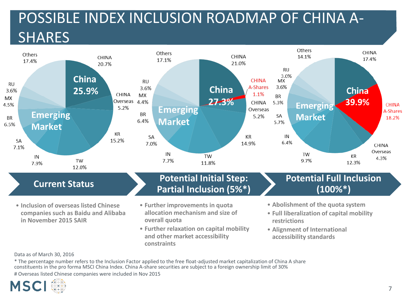## POSSIBLE INDEX INCLUSION ROADMAP OF CHINA A-**SHARES**



• **Alignment of International accessibility standards**

Data as of March 30, 2016

\* The percentage number refers to the Inclusion Factor applied to the free float-adjusted market capitalization of China A share constituents in the pro forma MSCI China Index. China A-share securities are subject to a foreign ownership limit of 30% # Overseas listed Chinese companies were included in Nov 2015

**constraints**

**and other market accessibility** 

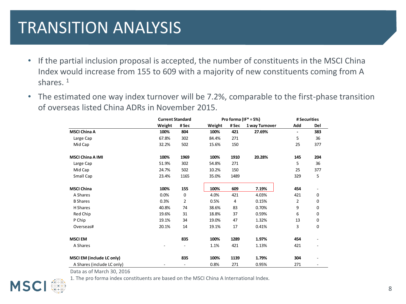#### TRANSITION ANALYSIS

- If the partial inclusion proposal is accepted, the number of constituents in the MSCI China Index would increase from 155 to 609 with a majority of new constituents coming from A shares.  $1$
- The estimated one way index turnover will be 7.2%, comparable to the first-phase transition of overseas listed China ADRs in November 2015.

|                                  |        | <b>Current Standard</b>  |        | Pro forma (IF* = $5\%$ ) |                |                | # Securities |  |
|----------------------------------|--------|--------------------------|--------|--------------------------|----------------|----------------|--------------|--|
|                                  | Weight | # Sec                    | Weight | # Sec                    | 1 way Turnover | Add            | Del          |  |
| <b>MSCI China A</b>              | 100%   | 804                      | 100%   | 421                      | 27.69%         | $\blacksquare$ | 383          |  |
| Large Cap                        | 67.8%  | 302                      | 84.4%  | 271                      |                | 5              | 36           |  |
| Mid Cap                          | 32.2%  | 502                      | 15.6%  | 150                      |                | 25             | 377          |  |
| <b>MSCI China A IMI</b>          | 100%   | 1969                     | 100%   | 1910                     | 20.28%         | 145            | 204          |  |
| Large Cap                        | 51.9%  | 302                      | 54.8%  | 271                      |                | 5              | 36           |  |
| Mid Cap                          | 24.7%  | 502                      | 10.2%  | 150                      |                | 25             | 377          |  |
| Small Cap                        | 23.4%  | 1165                     | 35.0%  | 1489                     |                | 329            | 5            |  |
| <b>MSCI China</b>                | 100%   | 155                      | 100%   | 609                      | 7.19%          | 454            |              |  |
| A Shares                         | 0.0%   | 0                        | 4.0%   | 421                      | 4.03%          | 421            | 0            |  |
| <b>B</b> Shares                  | 0.3%   | 2                        | 0.5%   | 4                        | 0.15%          | $\overline{2}$ | 0            |  |
| H Shares                         | 40.8%  | 74                       | 38.6%  | 83                       | 0.70%          | 9              | 0            |  |
| Red Chip                         | 19.6%  | 31                       | 18.8%  | 37                       | 0.59%          | 6              | 0            |  |
| P Chip                           | 19.1%  | 34                       | 19.0%  | 47                       | 1.32%          | 13             | 0            |  |
| Overseas#                        | 20.1%  | 14                       | 19.1%  | 17                       | 0.41%          | 3              | 0            |  |
| <b>MSCI EM</b>                   |        | 835                      | 100%   | 1289                     | 1.97%          | 454            |              |  |
| A Shares                         |        |                          | 1.1%   | 421                      | 1.13%          | 421            |              |  |
| <b>MSCI EM (include LC only)</b> |        | 835                      | 100%   | 1139                     | 1.79%          | 304            |              |  |
| A Shares (include LC only)       |        | $\overline{\phantom{0}}$ | 0.8%   | 271                      | 0.95%          | 271            | -            |  |

Data as of March 30, 2016

1. The pro forma index constituents are based on the MSCI China A International Index.

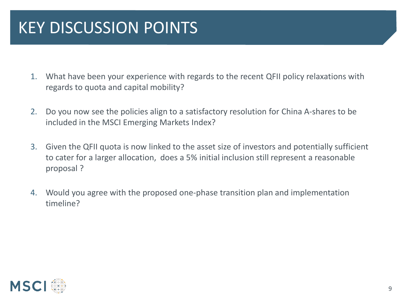# KEY DISCUSSION POINTS

- 1. What have been your experience with regards to the recent QFII policy relaxations with regards to quota and capital mobility?
- 2. Do you now see the policies align to a satisfactory resolution for China A-shares to be included in the MSCI Emerging Markets Index?
- 3. Given the QFII quota is now linked to the asset size of investors and potentially sufficient to cater for a larger allocation, does a 5% initial inclusion still represent a reasonable proposal ?
- 4. Would you agree with the proposed one-phase transition plan and implementation timeline?

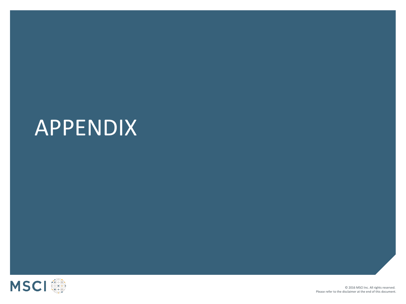# APPENDIX

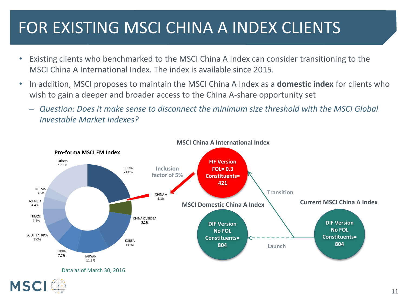# FOR EXISTING MSCI CHINA A INDEX CLIENTS

- Existing clients who benchmarked to the MSCI China A Index can consider transitioning to the MSCI China A International Index. The index is available since 2015.
- In addition, MSCI proposes to maintain the MSCI China A Index as a **domestic index** for clients who wish to gain a deeper and broader access to the China A-share opportunity set
	- ─ *Question: Does it make sense to disconnect the minimum size threshold with the MSCI Global Investable Market Indexes?*

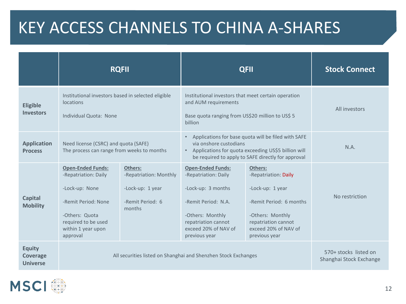#### KEY ACCESS CHANNELS TO CHINA A-SHARES

|                                                     | <b>RQFII</b>                                                                                                                                                         |                                                                                            | <b>QFII</b>                                                                                                                                                                                |                                                                                                                                                                    | <b>Stock Connect</b>                             |
|-----------------------------------------------------|----------------------------------------------------------------------------------------------------------------------------------------------------------------------|--------------------------------------------------------------------------------------------|--------------------------------------------------------------------------------------------------------------------------------------------------------------------------------------------|--------------------------------------------------------------------------------------------------------------------------------------------------------------------|--------------------------------------------------|
| <b>Eligible</b><br><b>Investors</b>                 | Institutional investors based in selected eligible<br>locations<br>Individual Quota: None                                                                            |                                                                                            | Institutional investors that meet certain operation<br>and AUM requirements<br>Base quota ranging from US\$20 million to US\$ 5<br>billion                                                 |                                                                                                                                                                    | All investors                                    |
| <b>Application</b><br><b>Process</b>                | Need license (CSRC) and quota (SAFE)<br>The process can range from weeks to months                                                                                   |                                                                                            | Applications for base quota will be filed with SAFE<br>via onshore custodians<br>Applications for quota exceeding US\$5 billion will<br>be required to apply to SAFE directly for approval |                                                                                                                                                                    | N.A.                                             |
| <b>Capital</b><br><b>Mobility</b>                   | <b>Open-Ended Funds:</b><br>-Repatriation: Daily<br>-Lock-up: None<br>-Remit Period: None<br>-Others: Quota<br>required to be used<br>within 1 year upon<br>approval | <b>Others:</b><br>-Repatriation: Monthly<br>-Lock-up: 1 year<br>-Remit Period: 6<br>months | <b>Open-Ended Funds:</b><br>-Repatriation: Daily<br>-Lock-up: 3 months<br>-Remit Period: N.A.<br>-Others: Monthly<br>repatriation cannot<br>exceed 20% of NAV of<br>previous year          | Others:<br>-Repatriation: Daily<br>-Lock-up: 1 year<br>-Remit Period: 6 months<br>-Others: Monthly<br>repatriation cannot<br>exceed 20% of NAV of<br>previous year | No restriction                                   |
| <b>Equity</b><br><b>Coverage</b><br><b>Universe</b> | All securities listed on Shanghai and Shenzhen Stock Exchanges                                                                                                       |                                                                                            |                                                                                                                                                                                            |                                                                                                                                                                    | 570+ stocks listed on<br>Shanghai Stock Exchange |

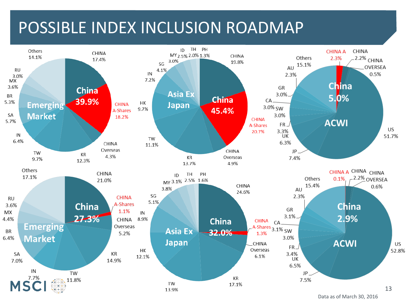#### POSSIBLE INDEX INCLUSION ROADMAP



Data as of March 30, 2016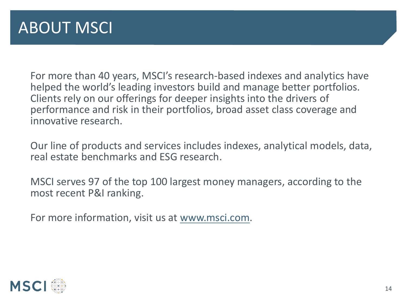For more than 40 years, MSCI's research-based indexes and analytics have helped the world's leading investors build and manage better portfolios. Clients rely on our offerings for deeper insights into the drivers of performance and risk in their portfolios, broad asset class coverage and innovative research.

Our line of products and services includes indexes, analytical models, data, real estate benchmarks and ESG research.

MSCI serves 97 of the top 100 largest money managers, according to the most recent P&I ranking.

For more information, visit us at [www.msci.com.](http://www.msci.com/)